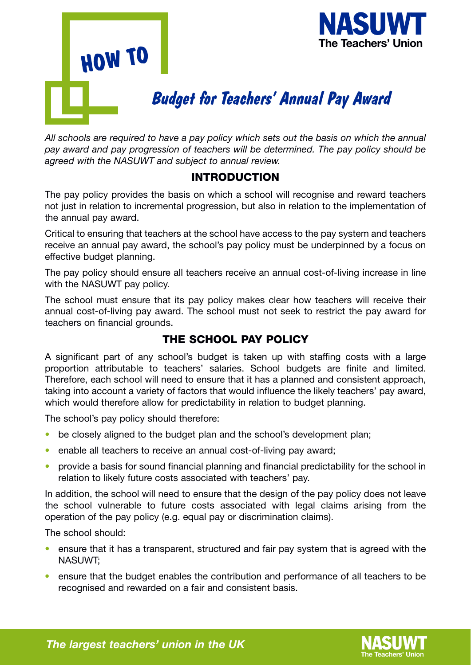



# *Budget for Teachers' Annual Pay Award*

*All schools are required to have a pay policy which sets out the basis on which the annual pay award and pay progression of teachers will be determined. The pay policy should be agreed with the NASUWT and subject to annual review.* 

#### INTRODUCTION

The pay policy provides the basis on which a school will recognise and reward teachers not just in relation to incremental progression, but also in relation to the implementation of the annual pay award.

Critical to ensuring that teachers at the school have access to the pay system and teachers receive an annual pay award, the school's pay policy must be underpinned by a focus on effective budget planning.

The pay policy should ensure all teachers receive an annual cost-of-living increase in line with the NASUWT pay policy.

The school must ensure that its pay policy makes clear how teachers will receive their annual cost-of-living pay award. The school must not seek to restrict the pay award for teachers on financial grounds.

## THE SCHOOL PAY POLICY

A significant part of any school's budget is taken up with staffing costs with a large proportion attributable to teachers' salaries. School budgets are finite and limited. Therefore, each school will need to ensure that it has a planned and consistent approach, taking into account a variety of factors that would influence the likely teachers' pay award, which would therefore allow for predictability in relation to budget planning.

The school's pay policy should therefore:

- be closely aligned to the budget plan and the school's development plan;
- enable all teachers to receive an annual cost-of-living pay award;
- provide a basis for sound financial planning and financial predictability for the school in relation to likely future costs associated with teachers' pay.

In addition, the school will need to ensure that the design of the pay policy does not leave the school vulnerable to future costs associated with legal claims arising from the operation of the pay policy (e.g. equal pay or discrimination claims).

The school should:

- ensure that it has a transparent, structured and fair pay system that is agreed with the NASUWT;
- ensure that the budget enables the contribution and performance of all teachers to be recognised and rewarded on a fair and consistent basis.



**The largest teachers' union in the UK**